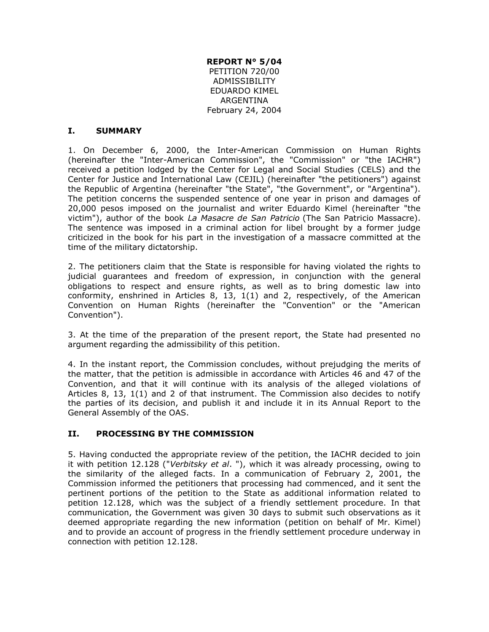**REPORT N° 5/04** PETITION 720/00 ADMISSIBILITY EDUARDO KIMEL ARGENTINA February 24, 2004

#### **I. SUMMARY**

1. On December 6, 2000, the Inter-American Commission on Human Rights (hereinafter the "Inter-American Commission", the "Commission" or "the IACHR") received a petition lodged by the Center for Legal and Social Studies (CELS) and the Center for Justice and International Law (CEJIL) (hereinafter "the petitioners") against the Republic of Argentina (hereinafter "the State", "the Government", or "Argentina"). The petition concerns the suspended sentence of one year in prison and damages of 20,000 pesos imposed on the journalist and writer Eduardo Kimel (hereinafter "the victim"), author of the book *La Masacre de San Patricio* (The San Patricio Massacre). The sentence was imposed in a criminal action for libel brought by a former judge criticized in the book for his part in the investigation of a massacre committed at the time of the military dictatorship.

2. The petitioners claim that the State is responsible for having violated the rights to judicial guarantees and freedom of expression, in conjunction with the general obligations to respect and ensure rights, as well as to bring domestic law into conformity, enshrined in Articles 8, 13, 1(1) and 2, respectively, of the American Convention on Human Rights (hereinafter the "Convention" or the "American Convention").

3. At the time of the preparation of the present report, the State had presented no argument regarding the admissibility of this petition.

4. In the instant report, the Commission concludes, without prejudging the merits of the matter, that the petition is admissible in accordance with Articles 46 and 47 of the Convention, and that it will continue with its analysis of the alleged violations of Articles 8, 13, 1(1) and 2 of that instrument. The Commission also decides to notify the parties of its decision, and publish it and include it in its Annual Report to the General Assembly of the OAS.

#### **II. PROCESSING BY THE COMMISSION**

5. Having conducted the appropriate review of the petition, the IACHR decided to join it with petition 12.128 ("*Verbitsky et al*. "), which it was already processing, owing to the similarity of the alleged facts. In a communication of February 2, 2001, the Commission informed the petitioners that processing had commenced, and it sent the pertinent portions of the petition to the State as additional information related to petition 12.128, which was the subject of a friendly settlement procedure. In that communication, the Government was given 30 days to submit such observations as it deemed appropriate regarding the new information (petition on behalf of Mr. Kimel) and to provide an account of progress in the friendly settlement procedure underway in connection with petition 12.128.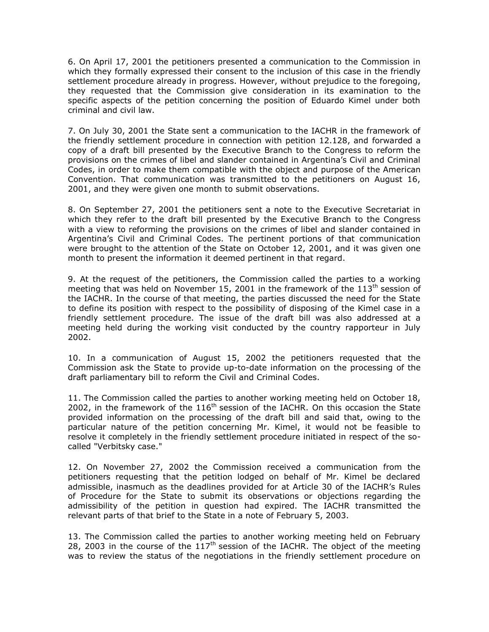6. On April 17, 2001 the petitioners presented a communication to the Commission in which they formally expressed their consent to the inclusion of this case in the friendly settlement procedure already in progress. However, without prejudice to the foregoing, they requested that the Commission give consideration in its examination to the specific aspects of the petition concerning the position of Eduardo Kimel under both criminal and civil law.

7. On July 30, 2001 the State sent a communication to the IACHR in the framework of the friendly settlement procedure in connection with petition 12.128, and forwarded a copy of a draft bill presented by the Executive Branch to the Congress to reform the provisions on the crimes of libel and slander contained in Argentina's Civil and Criminal Codes, in order to make them compatible with the object and purpose of the American Convention. That communication was transmitted to the petitioners on August 16, 2001, and they were given one month to submit observations.

8. On September 27, 2001 the petitioners sent a note to the Executive Secretariat in which they refer to the draft bill presented by the Executive Branch to the Congress with a view to reforming the provisions on the crimes of libel and slander contained in Argentina's Civil and Criminal Codes. The pertinent portions of that communication were brought to the attention of the State on October 12, 2001, and it was given one month to present the information it deemed pertinent in that regard.

9. At the request of the petitioners, the Commission called the parties to a working meeting that was held on November 15, 2001 in the framework of the  $113<sup>th</sup>$  session of the IACHR. In the course of that meeting, the parties discussed the need for the State to define its position with respect to the possibility of disposing of the Kimel case in a friendly settlement procedure. The issue of the draft bill was also addressed at a meeting held during the working visit conducted by the country rapporteur in July 2002.

10. In a communication of August 15, 2002 the petitioners requested that the Commission ask the State to provide up-to-date information on the processing of the draft parliamentary bill to reform the Civil and Criminal Codes.

11. The Commission called the parties to another working meeting held on October 18, 2002, in the framework of the  $116<sup>th</sup>$  session of the IACHR. On this occasion the State provided information on the processing of the draft bill and said that, owing to the particular nature of the petition concerning Mr. Kimel, it would not be feasible to resolve it completely in the friendly settlement procedure initiated in respect of the socalled "Verbitsky case."

12. On November 27, 2002 the Commission received a communication from the petitioners requesting that the petition lodged on behalf of Mr. Kimel be declared admissible, inasmuch as the deadlines provided for at Article 30 of the IACHR's Rules of Procedure for the State to submit its observations or objections regarding the admissibility of the petition in question had expired. The IACHR transmitted the relevant parts of that brief to the State in a note of February 5, 2003.

13. The Commission called the parties to another working meeting held on February 28, 2003 in the course of the  $117<sup>th</sup>$  session of the IACHR. The object of the meeting was to review the status of the negotiations in the friendly settlement procedure on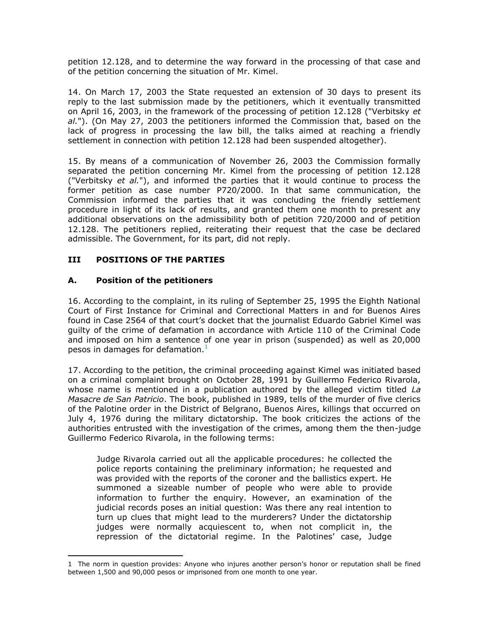petition 12.128, and to determine the way forward in the processing of that case and of the petition concerning the situation of Mr. Kimel.

14. On March 17, 2003 the State requested an extension of 30 days to present its reply to the last submission made by the petitioners, which it eventually transmitted on April 16, 2003, in the framework of the processing of petition 12.128 ("Verbitsky *et al.*"). (On May 27, 2003 the petitioners informed the Commission that, based on the lack of progress in processing the law bill, the talks aimed at reaching a friendly settlement in connection with petition 12.128 had been suspended altogether).

15. By means of a communication of November 26, 2003 the Commission formally separated the petition concerning Mr. Kimel from the processing of petition 12.128 ("Verbitsky *et al.*"), and informed the parties that it would continue to process the former petition as case number P720/2000. In that same communication, the Commission informed the parties that it was concluding the friendly settlement procedure in light of its lack of results, and granted them one month to present any additional observations on the admissibility both of petition 720/2000 and of petition 12.128. The petitioners replied, reiterating their request that the case be declared admissible. The Government, for its part, did not reply.

### **III POSITIONS OF THE PARTIES**

### **A. Position of the petitioners**

 $\overline{a}$ 

16. According to the complaint, in its ruling of September 25, 1995 the Eighth National Court of First Instance for Criminal and Correctional Matters in and for Buenos Aires found in Case 2564 of that court's docket that the journalist Eduardo Gabriel Kimel was guilty of the crime of defamation in accordance with Article 110 of the Criminal Code and imposed on him a sentence of one year in prison (suspended) as well as 20,000 pesos in damages for defamation. $<sup>1</sup>$ </sup>

17. According to the petition, the criminal proceeding against Kimel was initiated based on a criminal complaint brought on October 28, 1991 by Guillermo Federico Rivarola, whose name is mentioned in a publication authored by the alleged victim titled *La Masacre de San Patricio*. The book, published in 1989, tells of the murder of five clerics of the Palotine order in the District of Belgrano, Buenos Aires, killings that occurred on July 4, 1976 during the military dictatorship. The book criticizes the actions of the authorities entrusted with the investigation of the crimes, among them the then-judge Guillermo Federico Rivarola, in the following terms:

Judge Rivarola carried out all the applicable procedures: he collected the police reports containing the preliminary information; he requested and was provided with the reports of the coroner and the ballistics expert. He summoned a sizeable number of people who were able to provide information to further the enquiry. However, an examination of the judicial records poses an initial question: Was there any real intention to turn up clues that might lead to the murderers? Under the dictatorship judges were normally acquiescent to, when not complicit in, the repression of the dictatorial regime. In the Palotines' case, Judge

<sup>1</sup> The norm in question provides: Anyone who injures another person's honor or reputation shall be fined between 1,500 and 90,000 pesos or imprisoned from one month to one year.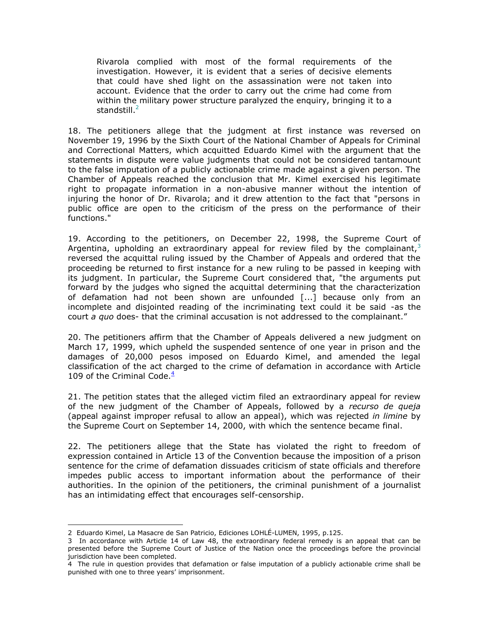Rivarola complied with most of the formal requirements of the investigation. However, it is evident that a series of decisive elements that could have shed light on the assassination were not taken into account. Evidence that the order to carry out the crime had come from within the military power structure paralyzed the enquiry, bringing it to a standstill. $<sup>2</sup>$ </sup>

18. The petitioners allege that the judgment at first instance was reversed on November 19, 1996 by the Sixth Court of the National Chamber of Appeals for Criminal and Correctional Matters, which acquitted Eduardo Kimel with the argument that the statements in dispute were value judgments that could not be considered tantamount to the false imputation of a publicly actionable crime made against a given person. The Chamber of Appeals reached the conclusion that Mr. Kimel exercised his legitimate right to propagate information in a non-abusive manner without the intention of injuring the honor of Dr. Rivarola; and it drew attention to the fact that "persons in public office are open to the criticism of the press on the performance of their functions."

19. According to the petitioners, on December 22, 1998, the Supreme Court of Argentina, upholding an extraordinary appeal for review filed by the complainant,  $3$ reversed the acquittal ruling issued by the Chamber of Appeals and ordered that the proceeding be returned to first instance for a new ruling to be passed in keeping with its judgment. In particular, the Supreme Court considered that, "the arguments put forward by the judges who signed the acquittal determining that the characterization of defamation had not been shown are unfounded [...] because only from an incomplete and disjointed reading of the incriminating text could it be said -as the court *a quo* does- that the criminal accusation is not addressed to the complainant."

20. The petitioners affirm that the Chamber of Appeals delivered a new judgment on March 17, 1999, which upheld the suspended sentence of one year in prison and the damages of 20,000 pesos imposed on Eduardo Kimel, and amended the legal classification of the act charged to the crime of defamation in accordance with Article 109 of the Criminal Code. $\frac{4}{3}$ 

21. The petition states that the alleged victim filed an extraordinary appeal for review of the new judgment of the Chamber of Appeals, followed by a *recurso de queja* (appeal against improper refusal to allow an appeal), which was rejected *in limine* by the Supreme Court on September 14, 2000, with which the sentence became final.

22. The petitioners allege that the State has violated the right to freedom of expression contained in Article 13 of the Convention because the imposition of a prison sentence for the crime of defamation dissuades criticism of state officials and therefore impedes public access to important information about the performance of their authorities. In the opinion of the petitioners, the criminal punishment of a journalist has an intimidating effect that encourages self-censorship.

 $\overline{a}$ 

<sup>2</sup> Eduardo Kimel, La Masacre de San Patricio, Ediciones LOHLÉ-LUMEN, 1995, p.125.

<sup>3</sup> In accordance with Article 14 of Law 48, the extraordinary federal remedy is an appeal that can be presented before the Supreme Court of Justice of the Nation once the proceedings before the provincial jurisdiction have been completed.

<sup>4</sup> The rule in question provides that defamation or false imputation of a publicly actionable crime shall be punished with one to three years' imprisonment.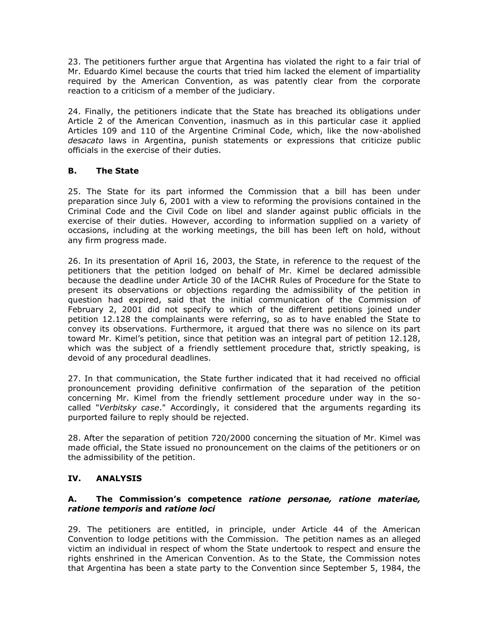23. The petitioners further argue that Argentina has violated the right to a fair trial of Mr. Eduardo Kimel because the courts that tried him lacked the element of impartiality required by the American Convention, as was patently clear from the corporate reaction to a criticism of a member of the judiciary.

24. Finally, the petitioners indicate that the State has breached its obligations under Article 2 of the American Convention, inasmuch as in this particular case it applied Articles 109 and 110 of the Argentine Criminal Code, which, like the now-abolished *desacato* laws in Argentina, punish statements or expressions that criticize public officials in the exercise of their duties.

### **B. The State**

25. The State for its part informed the Commission that a bill has been under preparation since July 6, 2001 with a view to reforming the provisions contained in the Criminal Code and the Civil Code on libel and slander against public officials in the exercise of their duties. However, according to information supplied on a variety of occasions, including at the working meetings, the bill has been left on hold, without any firm progress made.

26. In its presentation of April 16, 2003, the State, in reference to the request of the petitioners that the petition lodged on behalf of Mr. Kimel be declared admissible because the deadline under Article 30 of the IACHR Rules of Procedure for the State to present its observations or objections regarding the admissibility of the petition in question had expired, said that the initial communication of the Commission of February 2, 2001 did not specify to which of the different petitions joined under petition 12.128 the complainants were referring, so as to have enabled the State to convey its observations. Furthermore, it argued that there was no silence on its part toward Mr. Kimel's petition, since that petition was an integral part of petition 12.128, which was the subject of a friendly settlement procedure that, strictly speaking, is devoid of any procedural deadlines.

27. In that communication, the State further indicated that it had received no official pronouncement providing definitive confirmation of the separation of the petition concerning Mr. Kimel from the friendly settlement procedure under way in the socalled "*Verbitsky case*." Accordingly, it considered that the arguments regarding its purported failure to reply should be rejected.

28. After the separation of petition 720/2000 concerning the situation of Mr. Kimel was made official, the State issued no pronouncement on the claims of the petitioners or on the admissibility of the petition.

# **IV. ANALYSIS**

#### **A. The Commission's competence** *ratione personae, ratione materiae, ratione temporis* **and** *ratione loci*

29. The petitioners are entitled, in principle, under Article 44 of the American Convention to lodge petitions with the Commission. The petition names as an alleged victim an individual in respect of whom the State undertook to respect and ensure the rights enshrined in the American Convention. As to the State, the Commission notes that Argentina has been a state party to the Convention since September 5, 1984, the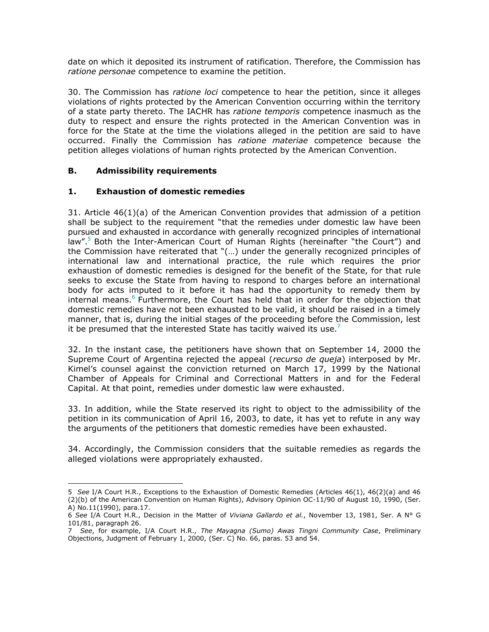date on which it deposited its instrument of ratification. Therefore, the Commission has *ratione personae* competence to examine the petition.

30. The Commission has *ratione loci* competence to hear the petition, since it alleges violations of rights protected by the American Convention occurring within the territory of a state party thereto. The IACHR has *ratione temporis* competence inasmuch as the duty to respect and ensure the rights protected in the American Convention was in force for the State at the time the violations alleged in the petition are said to have occurred. Finally the Commission has *ratione materiae* competence because the petition alleges violations of human rights protected by the American Convention.

### **B. Admissibility requirements**

### **1. Exhaustion of domestic remedies**

31. Article 46(1)(a) of the American Convention provides that admission of a petition shall be subject to the requirement "that the remedies under domestic law have been pursued and exhausted in accordance with generally recognized principles of international law".<sup>5</sup> Both the Inter-American Court of Human Rights (hereinafter "the Court") and the Commission have reiterated that "(…) under the generally recognized principles of international law and international practice, the rule which requires the prior exhaustion of domestic remedies is designed for the benefit of the State, for that rule seeks to excuse the State from having to respond to charges before an international body for acts imputed to it before it has had the opportunity to remedy them by internal means.<sup>6</sup> Furthermore, the Court has held that in order for the objection that domestic remedies have not been exhausted to be valid, it should be raised in a timely manner, that is, during the initial stages of the proceeding before the Commission, lest it be presumed that the interested State has tacitly waived its use.<sup>7</sup>

32. In the instant case, the petitioners have shown that on September 14, 2000 the Supreme Court of Argentina rejected the appeal (*recurso de queja*) interposed by Mr. Kimel's counsel against the conviction returned on March 17, 1999 by the National Chamber of Appeals for Criminal and Correctional Matters in and for the Federal Capital. At that point, remedies under domestic law were exhausted.

33. In addition, while the State reserved its right to object to the admissibility of the petition in its communication of April 16, 2003, to date, it has yet to refute in any way the arguments of the petitioners that domestic remedies have been exhausted.

34. Accordingly, the Commission considers that the suitable remedies as regards the alleged violations were appropriately exhausted.

 $\overline{a}$ 5 *See* I/A Court H.R., Exceptions to the Exhaustion of Domestic Remedies (Articles 46(1), 46(2)(a) and 46 (2)(b) of the American Convention on Human Rights), Advisory Opinion OC-11/90 of August 10, 1990, (Ser. A) No.11(1990), para.17.

<sup>6</sup> *See* I/A Court H.R., Decision in the Matter of *Viviana Gallardo et al.*, November 13, 1981, Ser. A N° G 101/81, paragraph 26.

<sup>7</sup> *See*, for example, I/A Court H.R., *The Mayagna (Sumo) Awas Tingni Community Case*, Preliminary Objections, Judgment of February 1, 2000, (Ser. C) No. 66, paras. 53 and 54.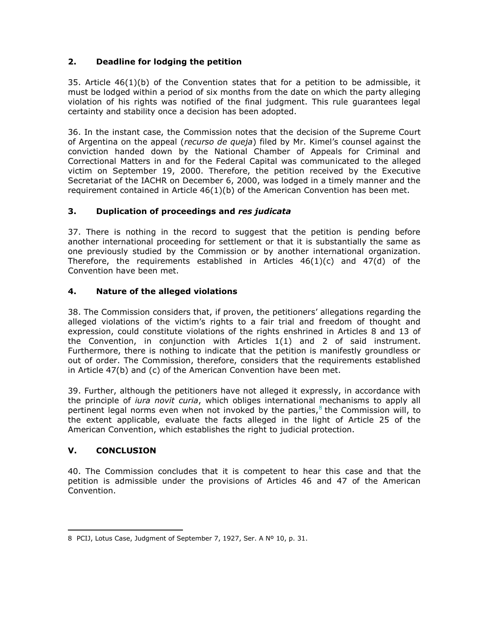# **2. Deadline for lodging the petition**

35. Article 46(1)(b) of the Convention states that for a petition to be admissible, it must be lodged within a period of six months from the date on which the party alleging violation of his rights was notified of the final judgment. This rule guarantees legal certainty and stability once a decision has been adopted.

36. In the instant case, the Commission notes that the decision of the Supreme Court of Argentina on the appeal (*recurso de queja*) filed by Mr. Kimel's counsel against the conviction handed down by the National Chamber of Appeals for Criminal and Correctional Matters in and for the Federal Capital was communicated to the alleged victim on September 19, 2000. Therefore, the petition received by the Executive Secretariat of the IACHR on December 6, 2000, was lodged in a timely manner and the requirement contained in Article 46(1)(b) of the American Convention has been met.

# **3. Duplication of proceedings and** *res judicata*

37. There is nothing in the record to suggest that the petition is pending before another international proceeding for settlement or that it is substantially the same as one previously studied by the Commission or by another international organization. Therefore, the requirements established in Articles  $46(1)(c)$  and  $47(d)$  of the Convention have been met.

# **4. Nature of the alleged violations**

38. The Commission considers that, if proven, the petitioners' allegations regarding the alleged violations of the victim's rights to a fair trial and freedom of thought and expression, could constitute violations of the rights enshrined in Articles 8 and 13 of the Convention, in conjunction with Articles 1(1) and 2 of said instrument. Furthermore, there is nothing to indicate that the petition is manifestly groundless or out of order. The Commission, therefore, considers that the requirements established in Article 47(b) and (c) of the American Convention have been met.

39. Further, although the petitioners have not alleged it expressly, in accordance with the principle of *iura novit curia*, which obliges international mechanisms to apply all pertinent legal norms even when not invoked by the parties, $^8$  the Commission will, to the extent applicable, evaluate the facts alleged in the light of Article 25 of the American Convention, which establishes the right to judicial protection.

# **V. CONCLUSION**

40. The Commission concludes that it is competent to hear this case and that the petition is admissible under the provisions of Articles 46 and 47 of the American Convention.

 $\overline{a}$ 8 PCIJ, Lotus Case, Judgment of September 7, 1927, Ser. A Nº 10, p. 31.